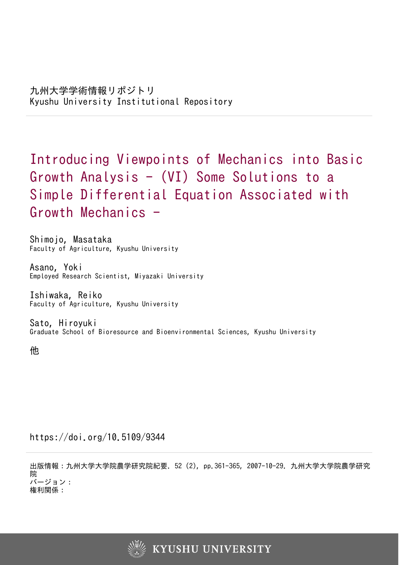Introducing Viewpoints of Mechanics into Basic Growth Analysis  $-$  (VI) Some Solutions to a Simple Differential Equation Associated with Growth Mechanics -

Shimojo, Masataka Faculty of Agriculture, Kyushu University

Asano, Yoki Employed Research Scientist, Miyazaki University

Ishiwaka, Reiko Faculty of Agriculture, Kyushu University

Sato, Hiroyuki Graduate School of Bioresource and Bioenvironmental Sciences, Kyushu University

他

https://doi.org/10.5109/9344

出版情報:九州大学大学院農学研究院紀要. 52 (2), pp.361-365, 2007-10-29. 九州大学大学院農学研究 院 バージョン: 権利関係:

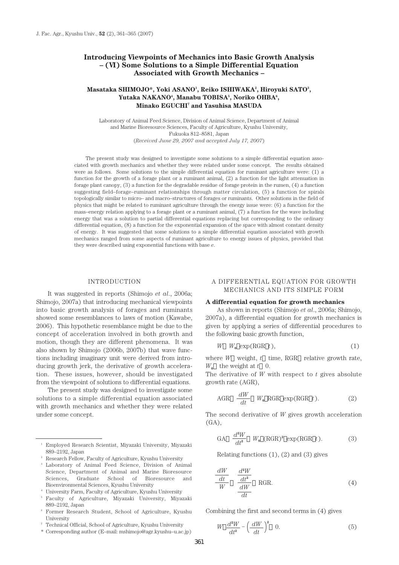# **Introducing Viewpoints of Mechanics into Basic Growth Analysis – (VI) Some Solutions to a Simple Differential Equation Associated with Growth Mechanics –**

# Masataka SHIMOJO\*, Yoki ASANO<sup>ı</sup>, Reiko ISHIWAKA<sup>2</sup>, Hiroyuki SATO<sup>3</sup>, Yutaka NAKANO<sup>4</sup>, Manabu TOBISA<sup>5</sup>, Noriko OHBA<sup>6</sup>, **Minako EGUCHI7 and Yasuhisa MASUDA**

Laboratory of Animal Feed Science, Division of Animal Science, Department of Animal and Marine Bioresource Sciences, Faculty of Agriculture, Kyushu University, Fukuoka 812–8581, Japan (*Received June 29, 2007 and accepted July 17, 2007*)

The present study was designed to investigate some solutions to a simple differential equation associated with growth mechanics and whether they were related under some concept. The results obtained were as follows. Some solutions to the simple differential equation for ruminant agriculture were: (1) a function for the growth of a forage plant or a ruminant animal, (2) a function for the light attenuation in forage plant canopy, (3) a function for the degradable residue of forage protein in the rumen, (4) a function suggesting field–forage–ruminant relationships through matter circulation, (5) a function for spirals topologically similar to micro– and macro–structures of forages or ruminants. Other solutions in the field of physics that might be related to ruminant agriculture through the energy issue were: (6) a function for the mass–energy relation applying to a forage plant or a ruminant animal, (7) a function for the wave including energy that was a solution to partial differential equations replacing but corresponding to the ordinary differential equation, (8) a function for the exponential expansion of the space with almost constant density of energy. It was suggested that some solutions to a simple differential equation associated with growth mechanics ranged from some aspects of ruminant agriculture to energy issues of physics, provided that they were described using exponential functions with base *e*.

#### INTRODUCTION

It was suggested in reports (Shimojo *et al*., 2006a; Shimojo, 2007a) that introducing mechanical viewpoints into basic growth analysis of forages and ruminants showed some resemblances to laws of motion (Kawabe, 2006). This hypothetic resemblance might be due to the concept of acceleration involved in both growth and motion, though they are different phenomena. It was also shown by Shimojo (2006b, 2007b) that wave functions including imaginary unit were derived from introducing growth jerk, the derivative of growth acceleration. These issues, however, should be investigated from the viewpoint of solutions to differential equations.

The present study was designed to investigate some solutions to a simple differential equation associated with growth mechanics and whether they were related under some concept.

## A DIFFERENTIAL EQUATION FOR GROWTH MECHANICS AND ITS SIMPLE FORM

#### **A differential equation for growth mechanics**

As shown in reports (Shimojo *et al*., 2006a; Shimojo, 2007a), a differential equation for growth mechanics is given by applying a series of differential procedures to the following basic growth function,

$$
W \t W_0 \t exp(RGR \t t), \t(1)
$$

where *W* weight, *t* time, RGR relative growth rate,  $W_0$  the weight at  $t \neq 0$ .

The derivative of *W* with respect to *t* gives absolute growth rate (AGR),

$$
\text{AGR} \quad \frac{dW}{dt} \quad W_{\text{o}} \text{ RGR} \exp(\text{RGR } t). \tag{2}
$$

The second derivative of *W* gives growth acceleration (GA),

GA 
$$
\frac{d^2W}{dt^2} W_0 (\text{RGR})^2 \exp(\text{RGR } t).
$$
 (3)

Relating functions  $(1)$ ,  $(2)$  and  $(3)$  gives

$$
\frac{dW}{dt} \frac{d^2W}{dt^2} \quad \text{RGR.} \tag{4}
$$

Combining the first and second terms in (4) gives

$$
W \frac{d^2W}{dt^2} - \left(\frac{dW}{dt}\right)^2 \quad 0.
$$
 (5)

<sup>1</sup> Employed Research Scientist, Miyazaki University, Miyazaki 889–2192, Japan

<sup>2</sup> Research Fellow, Faculty of Agriculture, Kyushu University

<sup>3</sup> Laboratory of Animal Feed Science, Division of Animal Science, Department of Animal and Marine Bioresource Sciences, Graduate School of Bioresource and Bioenvironmental Sciences, Kyushu University

<sup>4</sup> University Farm, Faculty of Agriculture, Kyushu University

<sup>5</sup> Faculty of Agriculture, Miyazaki University, Miyazaki 889–2192, Japan

<sup>6</sup> Former Research Student, School of Agriculture, Kyushu University

<sup>7</sup> Technical Official, School of Agriculture, Kyushu University

<sup>\*</sup> Corresponding author (E–mail: mshimojo@agr.kyushu–u.ac.jp)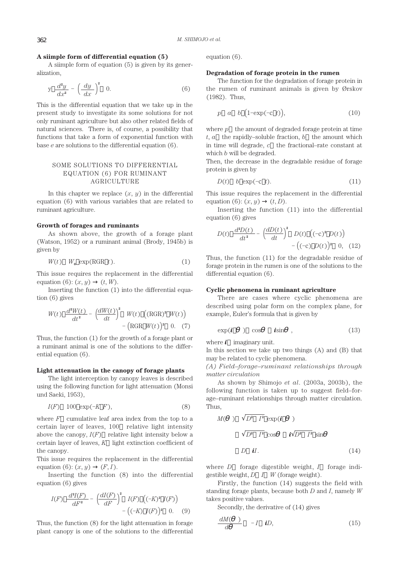## **A siimple form of differential equation (5)**

A siimple form of equation (5) is given by its generalization,

$$
y \frac{d^2y}{dx^2} - \left(\frac{dy}{dx}\right)^2 \quad 0.
$$
 (6)

This is the differential equation that we take up in the present study to investigate its some solutions for not only ruminant agriculture but also other related fields of natural sciences. There is, of course, a possibility that functions that take a form of exponential function with base *e* are solutions to the differential equation (6).

# SOME SOLUTIONS TO DIFFERENTIAL EQUATION (6) FOR RUMINANT AGRICULTURE

In this chapter we replace  $(x, y)$  in the differential equation (6) with various variables that are related to ruminant agriculture.

## **Growth of forages and ruminants**

As shown above, the growth of a forage plant (Watson, 1952) or a ruminant animal (Brody, 1945b) is given by

$$
W(t) \quad W_0 \, \exp(\text{RGR } t). \tag{1}
$$

This issue requires the replacement in the differential equation (6):  $(x, y)$   $(t, W)$ .

Inserting the function (1) into the differential equation (6) gives

$$
W(t) \frac{d^2W(t)}{dt^2} - \left(\frac{dW(t)}{dt}\right)^2 W(t) \left( (\text{RGR})^2 W(t) \right) - (\text{RGR } W(t))^2 \quad 0. \quad (7)
$$

Thus, the function (1) for the growth of a forage plant or a ruminant animal is one of the solutions to the differential equation (6).

#### **Light attenuation in the canopy of forage plants**

The light interception by canopy leaves is described using the following function for light attenuation (Monsi und Saeki, 1953),

$$
I(F) \quad 100 \quad \exp(-KF), \tag{8}
$$

where  $F$  cumulative leaf area index from the top to a certain layer of leaves, 100 relative light intensity above the canopy,  $I(F)$  relative light intensity below a certain layer of leaves, *K* light extinction coefficient of the canopy.

This issue requires the replacement in the differential equation  $(6)$ :  $(x, y)$   $(F, I)$ .

Inserting the function (8) into the differential equation (6) gives

$$
I(F) \frac{d^2I(F)}{dF^2} - \left(\frac{dI(F)}{dF}\right)^2 I(F) \left((-K)^2 I(F)\right) - \left((-K) I(F)\right)^2 0. \quad (9)
$$

Thus, the function (8) for the light attenuation in forage plant canopy is one of the solutions to the differential equation (6).

### **Degradation of forage protein in the rumen**

The function for the degradation of forage protein in the rumen of ruminant animals is given by Ørskov (1982). Thus,

$$
p \quad a \quad b \quad (1-\exp(-c \ t)), \tag{10}
$$

where  $p$  the amount of degraded forage protein at time  $t, a$  the rapidly–soluble fraction,  $b$  the amount which in time will degrade, *c* the fractional–rate constant at which *b* will be degraded.

Then, the decrease in the degradable residue of forage protein is given by

$$
D(t) \quad b \exp(-c \ t). \tag{11}
$$

This issue requires the replacement in the differential equation (6):  $(x, y)$   $(t, D)$ .

Inserting the function (11) into the differential equation (6) gives

$$
D(t) \frac{d^2D(t)}{dt^2} - \left(\frac{dD(t)}{dt}\right)^2 D(t) \left((-c)^2 D(t)\right) - \left((-c) D(t)\right)^2 0, (12)
$$

Thus, the function (11) for the degradable residue of forage protein in the rumen is one of the solutions to the differential equation (6).

## **Cyclic phenomena in ruminant agriculture**

There are cases where cyclic phenomena are described using polar form on the complex plane, for example, Euler's formula that is given by

$$
\exp(\boldsymbol{i} \quad) \quad \cos \quad \mathbf{i} \sin \quad , \tag{13}
$$

where  $\boldsymbol{i}$  imaginary unit.

In this section we take up two things (A) and (B) that may be related to cyclic phenomena.

## *(A) Field–forage–ruminant relationships through matter circulation*

As shown by Shimojo *et al*. (2003a, 2003b), the following function is taken up to suggest field–forage–ruminant relationships through matter circulation. Thus,

$$
M(\ ) \quad \overline{D^2 \quad I^2} \quad \exp(\boldsymbol{i} \quad )
$$

$$
\overline{D^2 \quad I^2} \quad \cos \quad \boldsymbol{i} \quad \overline{D^2 \quad I^2} \quad \sin
$$

$$
D \quad \boldsymbol{i}I. \tag{14}
$$

where *D* forage digestible weight, *I* forage indigestible weight, *D I W* (forage weight).

Firstly, the function (14) suggests the field with standing forage plants, because both *D* and *I*, namely *W* takes positive values.

Secondly, the derivative of (14) gives

$$
\frac{dM(\quad)}{d} \quad -I \quad \textbf{i}D,\tag{15}
$$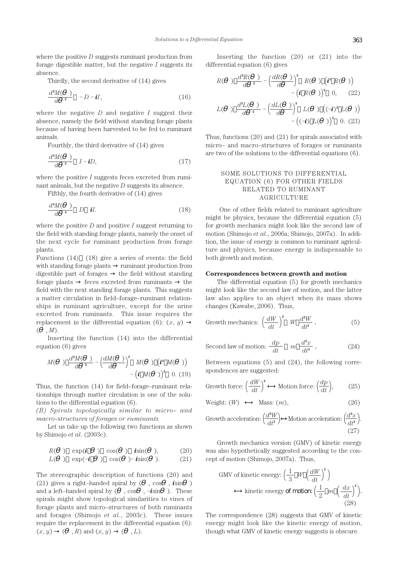where the positive *D* suggests ruminant production from forage digestible matter, but the negative *I* suggests its absence.

Thirdly, the second derivative of (14) gives

$$
\frac{d^2M(\ )}{d^2} - D - \boldsymbol{i}I,\tag{16}
$$

where the negative *D* and negative *I* suggest their absence, namely the field without standing forage plants because of having been harvested to be fed to ruminant animals.

Fourthly, the third derivative of (14) gives

$$
\frac{d^3M}{d^3} \quad I - iD,\tag{17}
$$

where the positive *I* suggests feces excreted from ruminant animals, but the negative *D* suggests its absence.

Fifthly, the fourth derivative of (14) gives

$$
\frac{d^4M(\ )}{d^4} \quad D \quad \mathbf{i}I. \tag{18}
$$

where the positive *D* and positive *I* suggest returning to the field with standing forage plants, namely the onset of the next cycle for ruminant production from forage plants.

Functions (14) (18) give a series of events: the field with standing forage plants ruminant production from digestible part of forages the field without standing forage plants feces excreted from ruminants the field with the next standing forage plants. This suggests a matter circulation in field–forage–ruminant relationships in ruminant agriculture, except for the urine excreted from ruminants. This issue requires the replacement in the differential equation  $(6)$ :  $(x, y)$  $( , M)$ .

Inserting the function (14) into the differential equation (6) gives

$$
M(\ ) \ \frac{d^{2}M(\ )}{d^2} - \left(\frac{dM(\ )}{d}\right)^2 \ M(\ ) \ \left(\mathbf{i}^2 \ M(\ )\right)
$$

$$
- \left(\mathbf{i} \ M(\ )\right)^2 \ 0. \ (19)
$$

Thus, the function (14) for field–forage–ruminant relationships through matter circulation is one of the solutions to the differential equation (6).

*(B) Spirals topologically similar to micro– and macro–structures of forages or ruminants*

Let us take up the following two functions as shown by Shimojo *et al*. (2003c).

$$
R(\quad) \quad \exp(\boldsymbol{i} \quad \quad) \quad \cos(\quad) \quad \boldsymbol{i} \sin(\quad), \tag{20}
$$

$$
L(\quad) \quad \exp(-\boldsymbol{i} \quad \quad) \quad \cos(\quad) - \boldsymbol{i} \sin(\quad). \tag{21}
$$

The stereographic description of functions (20) and (21) gives a right–handed spiral by ( , cos , *i*sin ) and a left–handed spiral by ( , cos , –*i*sin ). These spirals might show topological similarities to vines of forage plants and micro–structures of both ruminants and forages (Shimojo *et al*., 2003c). These issues require the replacement in the differential equation (6):  $(x, y)$  (, *R*) and  $(x, y)$  (, *L*).

Inserting the function (20) or (21) into the differential equation (6) gives

$$
R(\ ) \ \frac{d^2R(\ )}{d^2} - \left(\frac{dR(\ )}{d}\right)^2 R(\ ) \left(\mathbf{i}^2 R(\ )\right)
$$

$$
-\left(\mathbf{i} R(\ )\right)^2 0, \qquad (22)
$$

$$
L(\ ) \ \frac{d^2L(\ )}{d^2} - \left(\frac{dL(\ )}{d}\right)^2 L(\ ) \left((-\mathbf{i})^2 L(\ )\right)
$$

$$
-\left((-\mathbf{i}) L(\ )\right)^2 0. \quad (23)
$$

Thus, functions (20) and (21) for spirals associated with micro– and macro–structures of forages or ruminants are two of the solutions to the differential equations (6).

# SOME SOLUTIONS TO DIFFERENTIAL EQUATION (6) FOR OTHER FIELDS RELATED TO RUMINANT AGRICULTURE

One of other fields related to ruminant agriculture might be physics, because the differential equation (5) for growth mechanics might look like the second law of motion (Shimojo *et al*., 2006a; Shimojo, 2007a). In addition, the issue of energy is common to ruminant agriculture and physics, because energy is indispensable to both growth and motion.

#### **Correspondences between growth and motion**

The differential equation (5) for growth mechanics might look like the second law of motion, and the latter law also applies to an object when its mass shows changes (Kawabe, 2006). Thus,

Growth mechanics: 
$$
\left(\frac{dW}{dt}\right)^2
$$
  $W \frac{d^2W}{dt^2}$ . (5)

Second law of motion: 
$$
\frac{dp}{dt} = m \frac{d^2x}{dt^2}.
$$
 (24)

Between equations (5) and (24), the following correspondences are suggested:

Growth force: 
$$
\left(\frac{dW}{dt}\right)^2
$$
 Motion force:  $\left(\frac{dp}{dt}\right)$ , (25)

$$
Weight: (W) \qquad Mass: (m), \tag{26}
$$

Growth acceleration: 
$$
\left(\frac{d^2W}{dt^2}\right)
$$
 Motion acceleration:  $\left(\frac{d^2x}{dt^2}\right)$ .  
(27)

Growth mechanics version (GMV) of kinetic energy was also hypothetically suggested according to the concept of motion (Shimojo, 2007a). Thus,

GMV of kinetic energy: 
$$
\left(\frac{1}{3} W \left(\frac{dW}{dt}\right)^2\right)
$$
  
kinetic energy of motion  $\left(\frac{1}{2} m \left(\frac{dx}{dt}\right)^2\right)$ .  
(28)

The correspondence (28) suggests that GMV of kinetic energy might look like the kinetic energy of motion, though what GMV of kinetic energy suggests is obscure.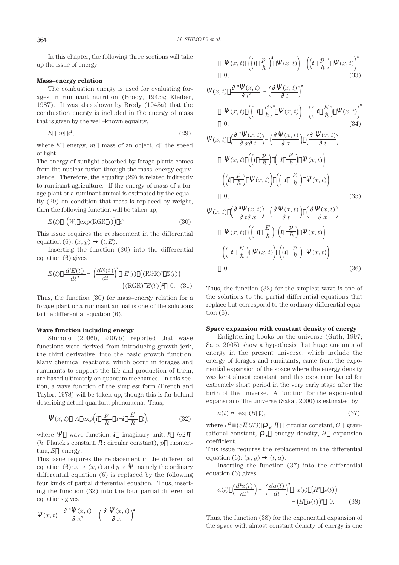In this chapter, the following three sections will take up the issue of energy.

### **Mass–energy relation**

The combustion energy is used for evaluating forages in ruminant nutrition (Brody, 1945a; Kleiber, 1987). It was also shown by Brody (1945a) that the combustion energy is included in the energy of mass that is given by the well–known equality,

$$
E \quad m \quad c^2,\tag{29}
$$

where  $E$  energy,  $m$  mass of an object,  $c$  the speed of light.

The energy of sunlight absorbed by forage plants comes from the nuclear fusion through the mass–energy equivalence. Therefore, the equality (29) is related indirectly to ruminant agriculture. If the energy of mass of a forage plant or a ruminant animal is estimated by the equality (29) on condition that mass is replaced by weight, then the following function will be taken up,

$$
E(t) \quad \left(W_{\mathbf{0}} \exp(\text{RGR } t)\right) c^2. \tag{30}
$$

This issue requires the replacement in the differential equation (6):  $(x, y)$   $(t, E)$ .

Inserting the function (30) into the differential equation (6) gives

$$
E(t) \frac{d^{2}E(t)}{dt^{2}} - \left(\frac{dE(t)}{dt}\right)^{2} E(t) \left( (\text{RGR})^{2} E(t) \right) - \left( (\text{RGR}) E(t) \right)^{2} 0. (31)
$$

Thus, the function (30) for mass–energy relation for a forage plant or a ruminant animal is one of the solutions to the differential equation (6).

# **Wave function including energy**

Shimojo (2006b, 2007b) reported that wave functions were derived from introducing growth jerk, the third derivative, into the basic growth function. Many chemical reactions, which occur in forages and ruminants to support the life and production of them, are based ultimately on quantum mechanics. In this section, a wave function of the simplest form (French and Taylor, 1978) will be taken up, though this is far behind describing actual quantum phenomena. Thus,

$$
(x, t) \quad A \, \exp\left(\mathbf{i} \, \frac{p}{\hbar} \, x - \mathbf{i} \, \frac{E}{\hbar} \, t\right), \tag{32}
$$

where wave function, *i* imaginary unit,  $\hbar$   $h/2$ (*h*: Planck's constant, : circular constant), *p* momentum, *E* energy.

This issue requires the replacement in the differential equation  $(6)$ :  $x \quad (x, t)$  and  $y$ , namely the ordinary differential equation (6) is replaced by the following four kinds of partial differential equation. Thus, inserting the function (32) into the four partial differential equations gives

$$
(x,t) \frac{2-(x,t)}{x^2} - \left(\frac{x,t}{x}\right)^2
$$

$$
(x, t) \left( \left( i \frac{p}{\hbar} \right)^2 - (x, t) \right) - \left( \left( i \frac{p}{\hbar} \right) - (x, t) \right)^2
$$
  
0, (33)

$$
(x, t) \frac{2(x, t)}{t^2} - \left(\frac{(x, t)}{t}\right)^2
$$
\n
$$
(x, t) \left(\left(-\mathbf{i} \frac{E}{\hbar}\right)^2 - (x, t)\right) - \left(\left(-\mathbf{i} \frac{E}{\hbar}\right) - (x, t)\right)^2
$$
\n
$$
(x, t) \left(\frac{2(x, t)}{x(t)}\right) - \left(\frac{x(t)}{x(t)}\right) \left(\frac{(x, t)}{t}\right)
$$
\n
$$
(x, t) \left(\mathbf{i} \frac{p}{\hbar}\right) \left(-\mathbf{i} \frac{E}{\hbar}\right) - (x, t)\right)
$$
\n
$$
-\left(\mathbf{i} \frac{p}{\hbar}\right) - (x, t) \left(\left(-\mathbf{i} \frac{E}{\hbar}\right) - (x, t)\right)
$$
\n
$$
(35)
$$
\n
$$
(x, t) \left(\frac{2(x, t)}{t(x)}\right) - \left(\frac{x(t)}{t}\right) \left(\frac{(x, t)}{x}\right)
$$
\n
$$
(x, t) \left(\left(-\mathbf{i} \frac{E}{\hbar}\right) \left(\mathbf{i} \frac{p}{\hbar}\right) - (x, t)\right)
$$
\n
$$
-\left(\left(-\mathbf{i} \frac{E}{\hbar}\right) - (x, t)\right) \left(\mathbf{i} \frac{p}{\hbar}\right) - (x, t)\right)
$$
\n
$$
(36)
$$

Thus, the function (32) for the simplest wave is one of the solutions to the partial differential equations that replace but correspond to the ordinary differential equation (6).

#### **Space expansion with constant density of energy**

Enlightening books on the universe (Guth, 1997; Sato, 2005) show a hypothesis that huge amounts of energy in the present universe, which include the energy of forages and ruminants, came from the exponential expansion of the space where the energy density was kept almost constant, and this expansion lasted for extremely short period in the very early stage after the birth of the universe. A function for the exponential expansion of the universe (Sakai, 2000) is estimated by

$$
a(t) \quad \exp(H \ t), \tag{37}
$$

where  $H^2$  (8 *G*/3) <sup>*v*</sup>, circular constant, *G* gravitational constant,  $\delta$  energy density,  $H$  expansion coefficient.

This issue requires the replacement in the differential equation (6):  $(x, y)$   $(t, a)$ .

Inserting the function (37) into the differential equation (6) gives

$$
a(t) \left(\frac{d^2a(t)}{dt^2}\right) - \left(\frac{da(t)}{dt}\right)^2 a(t) \left(H^2 a(t)\right) - \left(H a(t)\right)^2 0. \tag{38}
$$

Thus, the function (38) for the exponential expansion of the space with almost constant density of energy is one